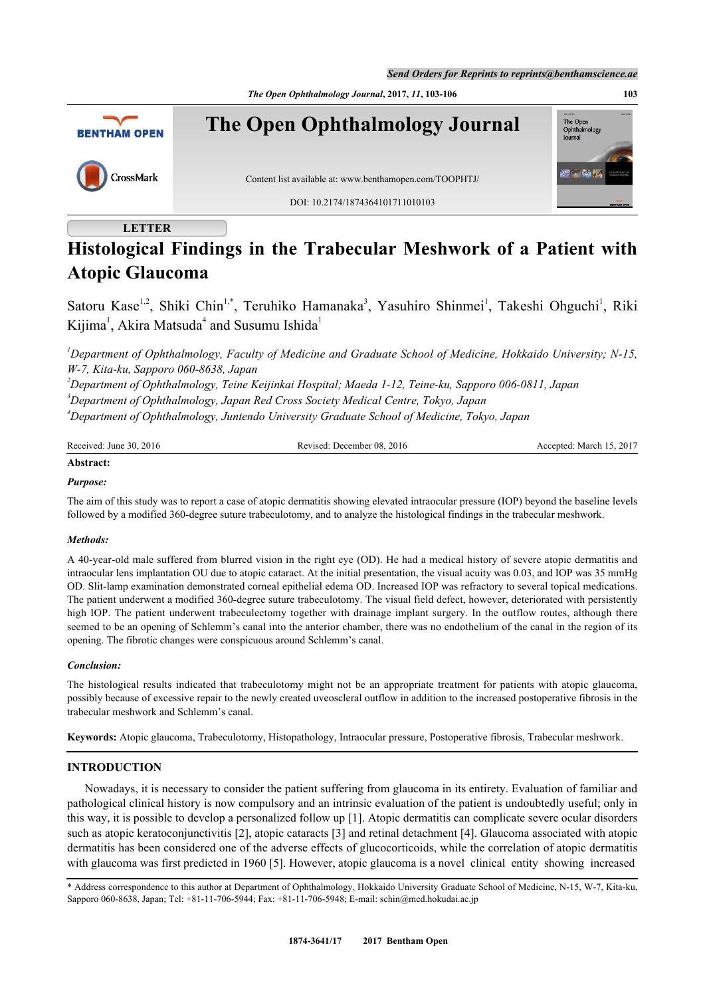*Send Orders for Reprints to reprints@benthamscience.ae*

*The Open Ophthalmology Journal***, 2017,** *11***, 103-106 103**



# **LETTER**

# **Histological Findings in the Trabecular Meshwork of a Patient with Atopic Glaucoma**

Satoru Kase<sup>[1](#page-0-0),[2](#page-0-1)</sup>, Shiki Chin<sup>1[,\\*](#page-0-2)</sup>, Teruhiko Hamanaka<sup>[3](#page-0-3)</sup>, Yasuhiro Shinmei<sup>1</sup>, Takeshi Ohguchi<sup>1</sup>, Riki Kijima<sup>[1](#page-0-0)</sup>, Akira Matsuda<sup>[4](#page-0-4)</sup> and Susumu Ishida<sup>1</sup>

<span id="page-0-0"></span>*<sup>1</sup>Department of Ophthalmology, Faculty of Medicine and Graduate School of Medicine, Hokkaido University; N-15, W-7, Kita-ku, Sapporo 060-8638, Japan*

<span id="page-0-4"></span><span id="page-0-3"></span><span id="page-0-1"></span>*<sup>2</sup>Department of Ophthalmology, Teine Keijinkai Hospital; Maeda 1-12, Teine-ku, Sapporo 006-0811, Japan <sup>3</sup>Department of Ophthalmology, Japan Red Cross Society Medical Centre, Tokyo, Japan <sup>4</sup>Department of Ophthalmology, Juntendo University Graduate School of Medicine, Tokyo, Japan*

| Received: June 30, 2016 | Revised: December 08, 2016 | Accepted: March 15, 2017 |
|-------------------------|----------------------------|--------------------------|
| Abstract:               |                            |                          |

#### *Purpose:*

The aim of this study was to report a case of atopic dermatitis showing elevated intraocular pressure (IOP) beyond the baseline levels followed by a modified 360-degree suture trabeculotomy, and to analyze the histological findings in the trabecular meshwork.

## *Methods:*

A 40-year-old male suffered from blurred vision in the right eye (OD). He had a medical history of severe atopic dermatitis and intraocular lens implantation OU due to atopic cataract. At the initial presentation, the visual acuity was 0.03, and IOP was 35 mmHg OD. Slit-lamp examination demonstrated corneal epithelial edema OD. Increased IOP was refractory to several topical medications. The patient underwent a modified 360-degree suture trabeculotomy. The visual field defect, however, deteriorated with persistently high IOP. The patient underwent trabeculectomy together with drainage implant surgery. In the outflow routes, although there seemed to be an opening of Schlemm's canal into the anterior chamber, there was no endothelium of the canal in the region of its opening. The fibrotic changes were conspicuous around Schlemm's canal.

#### *Conclusion:*

The histological results indicated that trabeculotomy might not be an appropriate treatment for patients with atopic glaucoma, possibly because of excessive repair to the newly created uveoscleral outflow in addition to the increased postoperative fibrosis in the trabecular meshwork and Schlemm's canal.

**Keywords:** Atopic glaucoma, Trabeculotomy, Histopathology, Intraocular pressure, Postoperative fibrosis, Trabecular meshwork.

## **INTRODUCTION**

Nowadays, it is necessary to consider the patient suffering from glaucoma in its entirety. Evaluation of familiar and pathological clinical history is now compulsory and an intrinsic evaluation of the patient is undoubtedly useful; only in this way, it is possible to develop a personalized follow up [\[1](#page-3-0)]. Atopic dermatitis can complicate severe ocular disorders such as atopic keratoconjunctivitis [[2\]](#page-3-1), atopic cataracts [[3\]](#page-3-2) and retinal detachment [\[4](#page-3-3)]. Glaucoma associated with atopic dermatitis has been considered one of the adverse effects of glucocorticoids, while the correlation of atopic dermatitis with glaucoma was first predicted in 1960 [[5\]](#page-3-4). However, atopic glaucoma is a novel clinical entity showing increased

<span id="page-0-2"></span><sup>\*</sup> Address correspondence to this author at Department of Ophthalmology, Hokkaido University Graduate School of Medicine, N-15, W-7, Kita-ku, Sapporo 060-8638, Japan; Tel: +81-11-706-5944; Fax: +81-11-706-5948; E-mail: [schin@med.hokudai.ac.jp](mailto:schin@med.hokudai.ac.jp)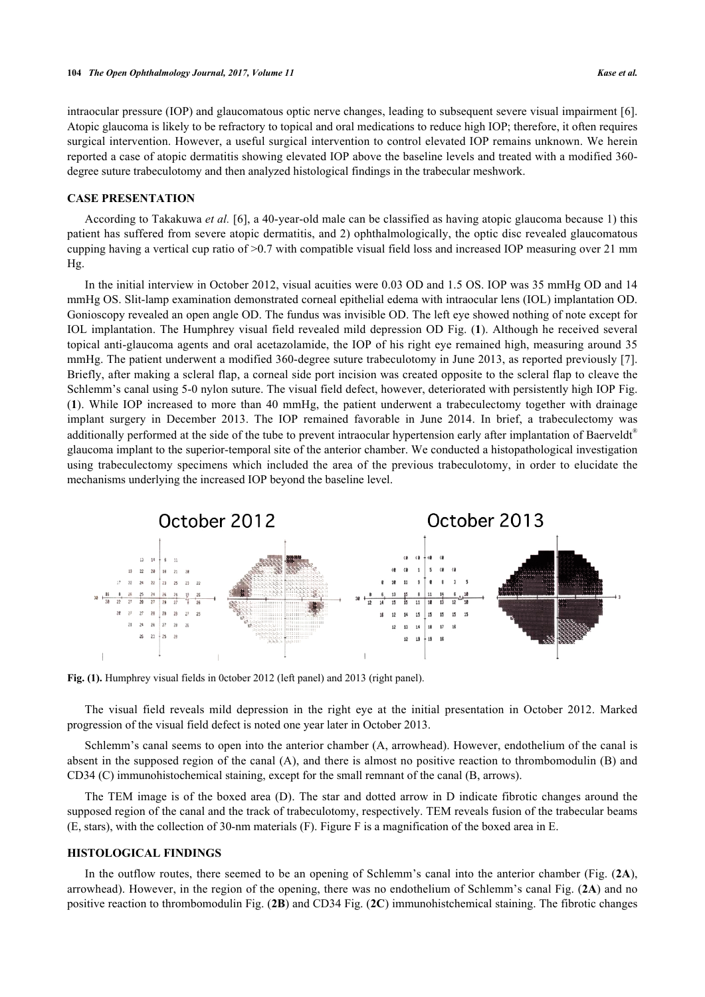intraocular pressure (IOP) and glaucomatous optic nerve changes, leading to subsequent severe visual impairment [[6\]](#page-3-5). Atopic glaucoma is likely to be refractory to topical and oral medications to reduce high IOP; therefore, it often requires surgical intervention. However, a useful surgical intervention to control elevated IOP remains unknown. We herein reported a case of atopic dermatitis showing elevated IOP above the baseline levels and treated with a modified 360 degree suture trabeculotomy and then analyzed histological findings in the trabecular meshwork.

#### **CASE PRESENTATION**

According to Takakuwa *et al.* [\[6](#page-3-5)], a 40-year-old male can be classified as having atopic glaucoma because 1) this patient has suffered from severe atopic dermatitis, and 2) ophthalmologically, the optic disc revealed glaucomatous cupping having a vertical cup ratio of >0.7 with compatible visual field loss and increased IOP measuring over 21 mm Hg.

In the initial interview in October 2012, visual acuities were 0.03 OD and 1.5 OS. IOP was 35 mmHg OD and 14 mmHg OS. Slit-lamp examination demonstrated corneal epithelial edema with intraocular lens (IOL) implantation OD. Gonioscopy revealed an open angle OD. The fundus was invisible OD. The left eye showed nothing of note except for IOL implantation. The Humphrey visual field revealed mild depression OD Fig. (**[1](#page-1-0)**). Although he received several topical anti-glaucoma agents and oral acetazolamide, the IOP of his right eye remained high, measuring around 35 mmHg. The patient underwent a modified 360-degree suture trabeculotomy in June 2013, as reported previously [[7\]](#page-3-6). Briefly, after making a scleral flap, a corneal side port incision was created opposite to the scleral flap to cleave the Schlemm's canal using 5-0 nylon suture. The visual field defect, however, deteriorated with persistently high IOP Fig. (**[1](#page-1-0)**). While IOP increased to more than 40 mmHg, the patient underwent a trabeculectomy together with drainage implant surgery in December 2013. The IOP remained favorable in June 2014. In brief, a trabeculectomy was additionally performed at the side of the tube to prevent intraocular hypertension early after implantation of Baerveldt<sup>®</sup> glaucoma implant to the superior-temporal site of the anterior chamber. We conducted a histopathological investigation using trabeculectomy specimens which included the area of the previous trabeculotomy, in order to elucidate the mechanisms underlying the increased IOP beyond the baseline level.

<span id="page-1-0"></span>

**Fig. (1).** Humphrey visual fields in 0ctober 2012 (left panel) and 2013 (right panel).

The visual field reveals mild depression in the right eye at the initial presentation in October 2012. Marked progression of the visual field defect is noted one year later in October 2013.

Schlemm's canal seems to open into the anterior chamber (A, arrowhead). However, endothelium of the canal is absent in the supposed region of the canal (A), and there is almost no positive reaction to thrombomodulin (B) and CD34 (C) immunohistochemical staining, except for the small remnant of the canal (B, arrows).

The TEM image is of the boxed area (D). The star and dotted arrow in D indicate fibrotic changes around the supposed region of the canal and the track of trabeculotomy, respectively. TEM reveals fusion of the trabecular beams (E, stars), with the collection of 30-nm materials (F). Figure F is a magnification of the boxed area in E.

## **HISTOLOGICAL FINDINGS**

In the outflow routes, there seemed to be an opening of Schlemm's canal into the anterior chamber (Fig. (**[2A](#page-2-0)**), arrowhead). However, in the region of the opening, there was no endothelium of Schlemm's canal Fig. (**[2A](#page-2-0)**) and no positive reaction to thrombomodulin Fig. (**[2B](#page-2-0)**) and CD34 Fig. (**[2C](#page-2-0)**) immunohistchemical staining. The fibrotic changes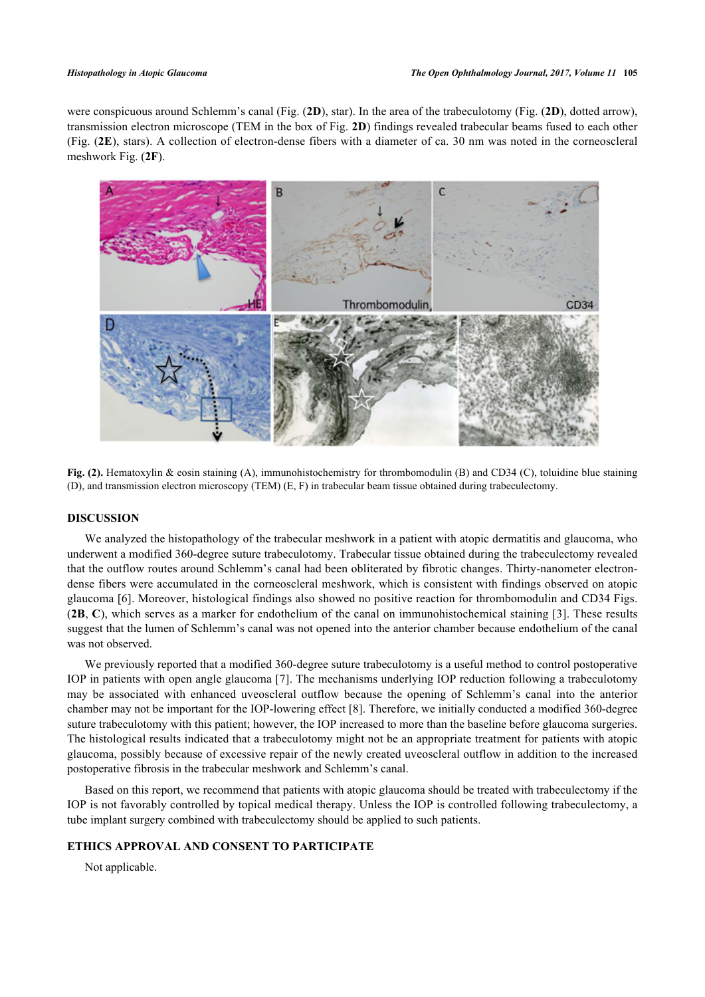were conspicuous around Schlemm's canal (Fig. (**[2D](#page-2-0)**), star). In the area of the trabeculotomy (Fig. (**[2D](#page-2-0)**), dotted arrow), transmission electron microscope (TEM in the box of Fig. **[2D](#page-2-0)**) findings revealed trabecular beams fused to each other (Fig. (**[2E](#page-2-0)**), stars). A collection of electron-dense fibers with a diameter of ca. 30 nm was noted in the corneoscleral meshwork Fig. (**[2F](#page-2-0)**).

<span id="page-2-0"></span>

**Fig. (2).** Hematoxylin & eosin staining (A), immunohistochemistry for thrombomodulin (B) and CD34 (C), toluidine blue staining (D), and transmission electron microscopy (TEM) (E, F) in trabecular beam tissue obtained during trabeculectomy.

#### **DISCUSSION**

We analyzed the histopathology of the trabecular meshwork in a patient with atopic dermatitis and glaucoma, who underwent a modified 360-degree suture trabeculotomy. Trabecular tissue obtained during the trabeculectomy revealed that the outflow routes around Schlemm's canal had been obliterated by fibrotic changes. Thirty-nanometer electrondense fibers were accumulated in the corneoscleral meshwork, which is consistent with findings observed on atopic glaucoma [[6\]](#page-3-5). Moreover, histological findings also showed no positive reaction for thrombomodulin and CD34 Figs. (**[2B](#page-2-0)**, **[C](#page-2-0)**), which serves as a marker for endothelium of the canal on immunohistochemical staining [[3](#page-3-2)]. These results suggest that the lumen of Schlemm's canal was not opened into the anterior chamber because endothelium of the canal was not observed.

We previously reported that a modified 360-degree suture trabeculotomy is a useful method to control postoperative IOP in patients with open angle glaucoma [[7](#page-3-6)]. The mechanisms underlying IOP reduction following a trabeculotomy may be associated with enhanced uveoscleral outflow because the opening of Schlemm's canal into the anterior chamber may not be important for the IOP-lowering effect [[8\]](#page-3-7). Therefore, we initially conducted a modified 360-degree suture trabeculotomy with this patient; however, the IOP increased to more than the baseline before glaucoma surgeries. The histological results indicated that a trabeculotomy might not be an appropriate treatment for patients with atopic glaucoma, possibly because of excessive repair of the newly created uveoscleral outflow in addition to the increased postoperative fibrosis in the trabecular meshwork and Schlemm's canal.

Based on this report, we recommend that patients with atopic glaucoma should be treated with trabeculectomy if the IOP is not favorably controlled by topical medical therapy. Unless the IOP is controlled following trabeculectomy, a tube implant surgery combined with trabeculectomy should be applied to such patients.

## **ETHICS APPROVAL AND CONSENT TO PARTICIPATE**

Not applicable.